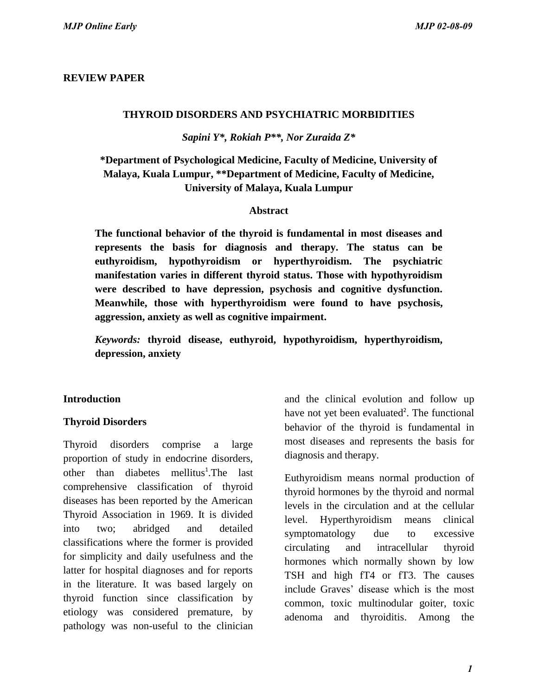### **REVIEW PAPER**

#### **THYROID DISORDERS AND PSYCHIATRIC MORBIDITIES**

*Sapini Y\*, Rokiah P\*\*, Nor Zuraida Z\** 

**\*Department of Psychological Medicine, Faculty of Medicine, University of Malaya, Kuala Lumpur, \*\*Department of Medicine, Faculty of Medicine, University of Malaya, Kuala Lumpur** 

#### **Abstract**

**The functional behavior of the thyroid is fundamental in most diseases and represents the basis for diagnosis and therapy. The status can be euthyroidism, hypothyroidism or hyperthyroidism. The psychiatric manifestation varies in different thyroid status. Those with hypothyroidism were described to have depression, psychosis and cognitive dysfunction. Meanwhile, those with hyperthyroidism were found to have psychosis, aggression, anxiety as well as cognitive impairment.** 

*Keywords:* **thyroid disease, euthyroid, hypothyroidism, hyperthyroidism, depression, anxiety** 

### **Introduction**

### **Thyroid Disorders**

Thyroid disorders comprise a large proportion of study in endocrine disorders, other than diabetes mellitus<sup>1</sup>. The last comprehensive classification of thyroid diseases has been reported by the American Thyroid Association in 1969. It is divided into two; abridged and detailed classifications where the former is provided for simplicity and daily usefulness and the latter for hospital diagnoses and for reports in the literature. It was based largely on thyroid function since classification by etiology was considered premature, by pathology was non-useful to the clinician *MJP Online Early*<br> **ERVIEW PAPER**<br> **ERVIENT DISORDERS AND PSYCHIATRIC MORBIDITIES**<br> **ESTIMATE CONDUCT THE SURFORMOND DISORDERS** AND PSYCHIATRIC MORBIDITIES<br> **APPROXIMATE CONDUCT THE SURFORMOND ACTES**<br> **CONDUCT THE CONDUCT** 

and the clinical evolution and follow up have not yet been evaluated<sup>2</sup>. The functional behavior of the thyroid is fundamental in most diseases and represents the basis for diagnosis and therapy.

Euthyroidism means normal production of thyroid hormones by the thyroid and normal levels in the circulation and at the cellular level. Hyperthyroidism means clinical symptomatology due to excessive circulating and intracellular thyroid hormones which normally shown by low TSH and high fT4 or fT3. The causes include Graves' disease which is the most common, toxic multinodular goiter, toxic adenoma and thyroiditis. Among the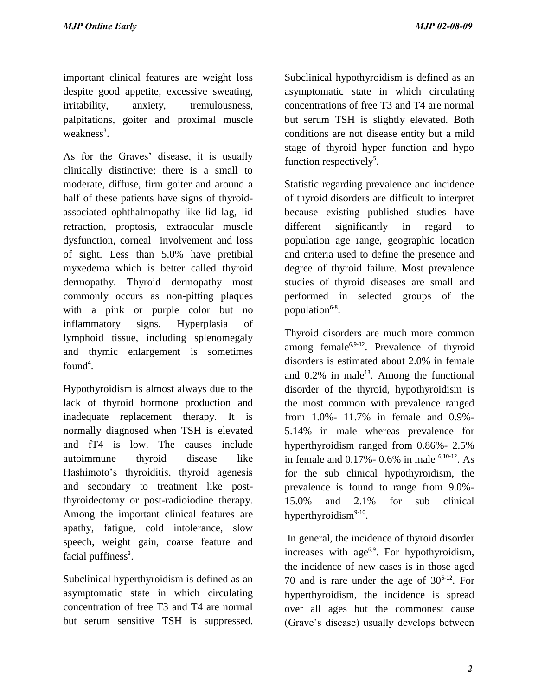important clinical features are weight loss despite good appetite, excessive sweating, irritability, anxiety, tremulousness, palpitations, goiter and proximal muscle weakness<sup>3</sup>.

As for the Graves' disease, it is usually clinically distinctive; there is a small to moderate, diffuse, firm goiter and around a half of these patients have signs of thyroidassociated ophthalmopathy like lid lag, lid retraction, proptosis, extraocular muscle dysfunction, corneal involvement and loss of sight. Less than 5.0% have pretibial myxedema which is better called thyroid dermopathy. Thyroid dermopathy most commonly occurs as non-pitting plaques with a pink or purple color but no inflammatory signs. Hyperplasia of lymphoid tissue, including splenomegaly and thymic enlargement is sometimes found<sup>4</sup>. *MJP Online Early*<br>
important clinical features are weight toss<br>
Subclimical hypothyroidism is defined as a<br>staceptie good appetite, recessive wenting,<br>
asymptomatic state in which circulation<br>
important constructions. Som

Hypothyroidism is almost always due to the lack of thyroid hormone production and inadequate replacement therapy. It is normally diagnosed when TSH is elevated and fT4 is low. The causes include autoimmune thyroid disease like Hashimoto's thyroiditis, thyroid agenesis and secondary to treatment like postthyroidectomy or post-radioiodine therapy. Among the important clinical features are apathy, fatigue, cold intolerance, slow speech, weight gain, coarse feature and facial puffiness<sup>3</sup>.

Subclinical hyperthyroidism is defined as an asymptomatic state in which circulating concentration of free T3 and T4 are normal but serum sensitive TSH is suppressed.

Subclinical hypothyroidism is defined as an asymptomatic state in which circulating concentrations of free T3 and T4 are normal but serum TSH is slightly elevated. Both conditions are not disease entity but a mild stage of thyroid hyper function and hypo function respectively<sup>5</sup>.

Statistic regarding prevalence and incidence of thyroid disorders are difficult to interpret because existing published studies have different significantly in regard to population age range, geographic location and criteria used to define the presence and degree of thyroid failure. Most prevalence studies of thyroid diseases are small and performed in selected groups of the population<sup>6-8</sup>.

Thyroid disorders are much more common among female $6.9-12$ . Prevalence of thyroid disorders is estimated about 2.0% in female and  $0.2\%$  in male<sup>13</sup>. Among the functional disorder of the thyroid, hypothyroidism is the most common with prevalence ranged from 1.0%- 11.7% in female and 0.9%- 5.14% in male whereas prevalence for hyperthyroidism ranged from 0.86%- 2.5% in female and  $0.17% - 0.6%$  in male  $6,10-12$ . As for the sub clinical hypothyroidism, the prevalence is found to range from 9.0%- 15.0% and 2.1% for sub clinical hyperthyroidism<sup>9-10</sup>.

 In general, the incidence of thyroid disorder increases with  $age<sup>6,9</sup>$ . For hypothyroidism, the incidence of new cases is in those aged 70 and is rare under the age of  $30^{6-12}$ . For hyperthyroidism, the incidence is spread over all ages but the commonest cause (Grave's disease) usually develops between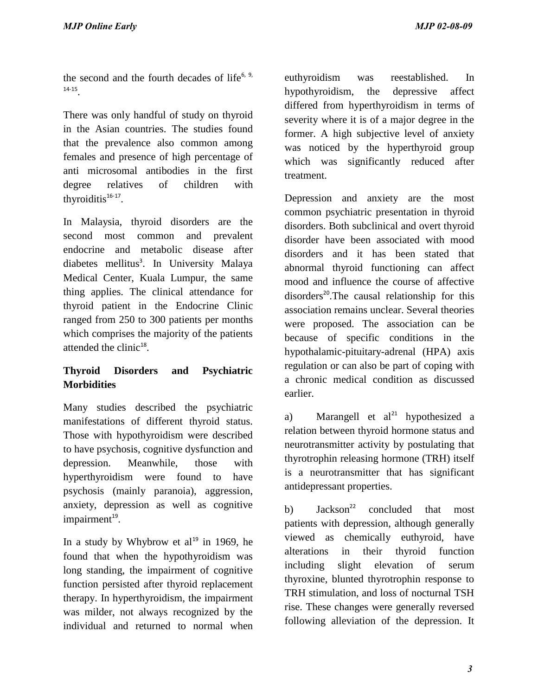the second and the fourth decades of life $6, 9$ , 14-15 .

There was only handful of study on thyroid in the Asian countries. The studies found that the prevalence also common among females and presence of high percentage of anti microsomal antibodies in the first degree relatives of children with thyroiditis $16-17$ .

In Malaysia, thyroid disorders are the second most common and prevalent endocrine and metabolic disease after diabetes mellitus<sup>3</sup>. In University Malaya Medical Center, Kuala Lumpur, the same thing applies. The clinical attendance for thyroid patient in the Endocrine Clinic ranged from 250 to 300 patients per months which comprises the majority of the patients attended the clinic<sup>18</sup>.

# **Thyroid Disorders and Psychiatric Morbidities**

Many studies described the psychiatric manifestations of different thyroid status. Those with hypothyroidism were described to have psychosis, cognitive dysfunction and depression. Meanwhile, those with hyperthyroidism were found to have psychosis (mainly paranoia), aggression, anxiety, depression as well as cognitive impairment<sup>19</sup>.

In a study by Whybrow et  $al^{19}$  in 1969, he found that when the hypothyroidism was long standing, the impairment of cognitive function persisted after thyroid replacement therapy. In hyperthyroidism, the impairment was milder, not always recognized by the individual and returned to normal when euthyroidism was reestablished. In hypothyroidism, the depressive affect differed from hyperthyroidism in terms of severity where it is of a major degree in the former. A high subjective level of anxiety was noticed by the hyperthyroid group which was significantly reduced after treatment.

Depression and anxiety are the most common psychiatric presentation in thyroid disorders. Both subclinical and overt thyroid disorder have been associated with mood disorders and it has been stated that abnormal thyroid functioning can affect mood and influence the course of affective  $disorders<sup>20</sup>. The causal relationship for this$ association remains unclear. Several theories were proposed. The association can be because of specific conditions in the hypothalamic-pituitary-adrenal (HPA) axis regulation or can also be part of coping with a chronic medical condition as discussed earlier. *MJP Online Early*<br>
the second and the fourth decades of life<sup>4</sup> evolly<br>robins was reesiseblished. In the second and the fourth decades of life<sup>4</sup> evolly<br>prohibidism in them a conservation of subspect of the second in the

a) Marangell et  $al^{21}$  hypothesized a relation between thyroid hormone status and neurotransmitter activity by postulating that thyrotrophin releasing hormone (TRH) itself is a neurotransmitter that has significant antidepressant properties.

b)  $Jackson<sup>22</sup>$  concluded that most patients with depression, although generally viewed as chemically euthyroid, have alterations in their thyroid function including slight elevation of serum thyroxine, blunted thyrotrophin response to TRH stimulation, and loss of nocturnal TSH rise. These changes were generally reversed following alleviation of the depression. It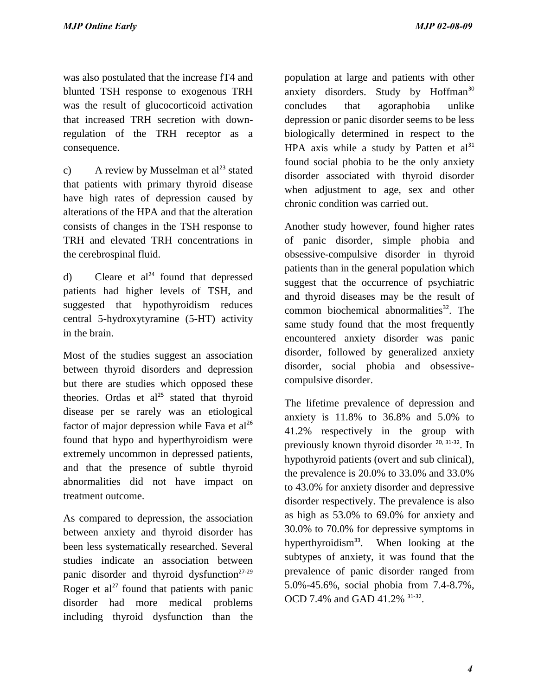was also postulated that the increase fT4 and blunted TSH response to exogenous TRH was the result of glucocorticoid activation that increased TRH secretion with downregulation of the TRH receptor as a consequence.

c) A review by Musselman et  $al<sup>23</sup>$  stated that patients with primary thyroid disease have high rates of depression caused by alterations of the HPA and that the alteration consists of changes in the TSH response to TRH and elevated TRH concentrations in the cerebrospinal fluid.

d) Cleare et  $al^{24}$  found that depressed patients had higher levels of TSH, and suggested that hypothyroidism reduces central 5-hydroxytyramine (5-HT) activity in the brain.

Most of the studies suggest an association between thyroid disorders and depression but there are studies which opposed these theories. Ordas et  $al^{25}$  stated that thyroid disease per se rarely was an etiological factor of major depression while Fava et  $al^{26}$ found that hypo and hyperthyroidism were extremely uncommon in depressed patients, and that the presence of subtle thyroid abnormalities did not have impact on treatment outcome.

As compared to depression, the association between anxiety and thyroid disorder has been less systematically researched. Several studies indicate an association between panic disorder and thyroid dysfunction $27-29$ Roger et  $al^{27}$  found that patients with panic disorder had more medical problems including thyroid dysfunction than the

population at large and patients with other anxiety disorders. Study by Hoffman<sup>30</sup> concludes that agoraphobia unlike depression or panic disorder seems to be less biologically determined in respect to the HPA axis while a study by Patten et  $al<sup>31</sup>$ found social phobia to be the only anxiety disorder associated with thyroid disorder when adjustment to age, sex and other chronic condition was carried out.

Another study however, found higher rates of panic disorder, simple phobia and obsessive-compulsive disorder in thyroid patients than in the general population which suggest that the occurrence of psychiatric and thyroid diseases may be the result of common biochemical abnormalities $32$ . The same study found that the most frequently encountered anxiety disorder was panic disorder, followed by generalized anxiety disorder, social phobia and obsessivecompulsive disorder.

The lifetime prevalence of depression and anxiety is 11.8% to 36.8% and 5.0% to 41.2% respectively in the group with previously known thyroid disorder  $20, 31-32$ . In hypothyroid patients (overt and sub clinical), the prevalence is 20.0% to 33.0% and 33.0% to 43.0% for anxiety disorder and depressive disorder respectively. The prevalence is also as high as 53.0% to 69.0% for anxiety and 30.0% to 70.0% for depressive symptoms in hyperthyroidism<sup>33</sup>. When looking at the subtypes of anxiety, it was found that the prevalence of panic disorder ranged from 5.0%-45.6%, social phobia from 7.4-8.7%, OCD 7.4% and GAD 41.2% <sup>31-32</sup>. *MJP Online Early*<br>
was also posticlated that the increase f<sup>14</sup> and<br>
population at large and patients with other<br>
was also posticlated and the increase five and  $\frac{1}{2}$  and  $\frac{1}{2}$ <br>
and the method of gluocontical acti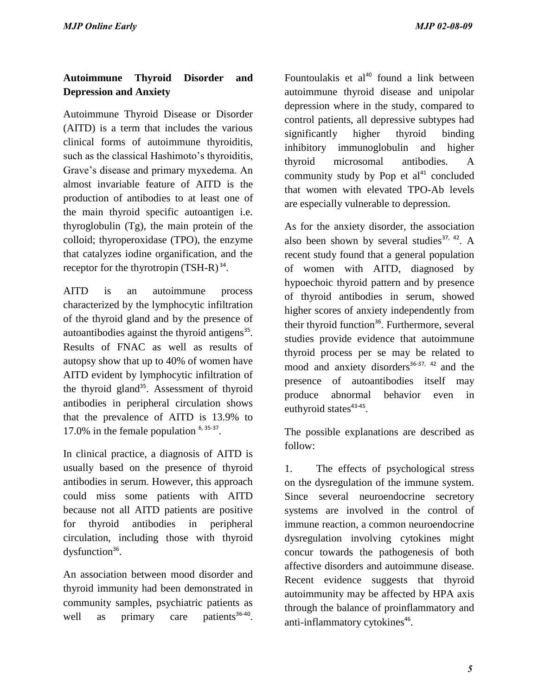# **Autoimmune Thyroid Disorder and Depression and Anxiety**

Autoimmune Thyroid Disease or Disorder (AITD) is a term that includes the various clinical forms of autoimmune thyroiditis, such as the classical Hashimoto's thyroiditis, Grave's disease and primary myxedema. An almost invariable feature of AITD is the production of antibodies to at least one of the main thyroid specific autoantigen i.e. thyroglobulin (Tg), the main protein of the colloid; thyroperoxidase (TPO), the enzyme that catalyzes iodine organification, and the receptor for the thyrotropin  $(TSH-R)^{34}$ .

AITD is an autoimmune process characterized by the lymphocytic infiltration of the thyroid gland and by the presence of autoantibodies against the thyroid antigens $35$ . Results of FNAC as well as results of autopsy show that up to 40% of women have AITD evident by lymphocytic infiltration of the thyroid gland<sup>35</sup>. Assessment of thyroid antibodies in peripheral circulation shows that the prevalence of AITD is 13.9% to 17.0% in the female population  $6,35-37$ .

In clinical practice, a diagnosis of AITD is usually based on the presence of thyroid antibodies in serum. However, this approach could miss some patients with AITD because not all AITD patients are positive for thyroid antibodies in peripheral circulation, including those with thyroid dysfunction $36$ .

An association between mood disorder and thyroid immunity had been demonstrated in community samples, psychiatric patients as well as primary care patients<sup>36-40</sup>. Fountoulakis et  $al^{40}$  found a link between autoimmune thyroid disease and unipolar depression where in the study, compared to control patients, all depressive subtypes had significantly higher thyroid binding inhibitory immunoglobulin and higher thyroid microsomal antibodies. A community study by Pop et  $al<sup>41</sup>$  concluded that women with elevated TPO-Ab levels are especially vulnerable to depression.

As for the anxiety disorder, the association also been shown by several studies<sup>37, 42</sup>. A recent study found that a general population of women with AITD, diagnosed by hypoechoic thyroid pattern and by presence of thyroid antibodies in serum, showed higher scores of anxiety independently from their thyroid function<sup>36</sup>. Furthermore, several studies provide evidence that autoimmune thyroid process per se may be related to mood and anxiety disorders<sup>36-37, 42</sup> and the presence of autoantibodies itself may produce abnormal behavior even in euthyroid states<sup>43-45</sup>. *MJP Online Early*<br> **Autommum** Thyroid Disorder and<br>
Disoruder and<br>
Disoruter and<br>
Disoruter and<br>
Disoruter and<br>
autommum thyroid disorus online the article consideration of the state of<br>
AG(ATD)) is a term that includes

The possible explanations are described as follow:

1. The effects of psychological stress on the dysregulation of the immune system. Since several neuroendocrine secretory systems are involved in the control of immune reaction, a common neuroendocrine dysregulation involving cytokines might concur towards the pathogenesis of both affective disorders and autoimmune disease. Recent evidence suggests that thyroid autoimmunity may be affected by HPA axis through the balance of proinflammatory and anti-inflammatory cytokines<sup>46</sup>.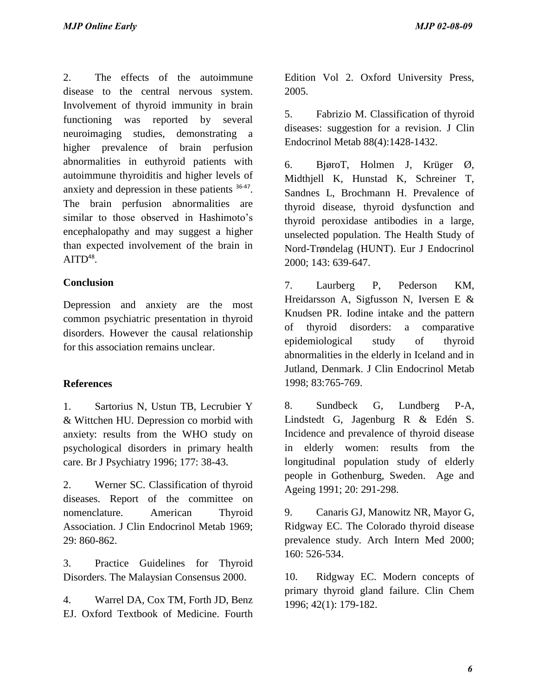2. The effects of the autoimmune disease to the central nervous system. Involvement of thyroid immunity in brain functioning was reported by several neuroimaging studies, demonstrating a higher prevalence of brain perfusion abnormalities in euthyroid patients with autoimmune thyroiditis and higher levels of anxiety and depression in these patients <sup>36-47</sup>. The brain perfusion abnormalities are similar to those observed in Hashimoto's encephalopathy and may suggest a higher than expected involvement of the brain in  $\mathrm{AITD}^{48}.$ *MJP Online Early*<br>
2. The effects of the autoinmume<br>
2. Chord University Press<br>
disease to the earted nervous system.<br>
Thus,<br>
inversity of the measural nervous system.<br>
Interds M, Classification of thyrodoximum<br>
interds o

## **Conclusion**

Depression and anxiety are the most common psychiatric presentation in thyroid disorders. However the causal relationship for this association remains unclear.

## **References**

1. Sartorius N, Ustun TB, Lecrubier Y & Wittchen HU. Depression co morbid with anxiety: results from the WHO study on psychological disorders in primary health care. Br J Psychiatry 1996; 177: 38-43.

2. Werner SC. Classification of thyroid diseases. Report of the committee on nomenclature. American Thyroid Association. J Clin Endocrinol Metab 1969; 29: 860-862.

3. Practice Guidelines for Thyroid Disorders. The Malaysian Consensus 2000.

4. Warrel DA, Cox TM, Forth JD, Benz EJ. Oxford Textbook of Medicine. Fourth Edition Vol 2. Oxford University Press, 2005.

5. Fabrizio M. Classification of thyroid diseases: suggestion for a revision. J Clin Endocrinol Metab 88(4):1428-1432.

6. BjøroT, Holmen J, Krüger Ø, Midthjell K, Hunstad K, Schreiner T, Sandnes L, Brochmann H. Prevalence of thyroid disease, thyroid dysfunction and thyroid peroxidase antibodies in a large, unselected population. The Health Study of Nord-Trøndelag (HUNT). Eur J Endocrinol 2000; 143: 639-647.

7. Laurberg P, Pederson KM, Hreidarsson A, Sigfusson N, Iversen E & Knudsen PR. Iodine intake and the pattern of thyroid disorders: a comparative epidemiological study of thyroid abnormalities in the elderly in Iceland and in Jutland, Denmark. J Clin Endocrinol Metab 1998; 83:765-769.

8. Sundbeck G, Lundberg P-A, Lindstedt G, Jagenburg R & Edén S. Incidence and prevalence of thyroid disease in elderly women: results from the longitudinal population study of elderly people in Gothenburg, Sweden. Age and Ageing 1991; 20: 291-298.

9. Canaris GJ, Manowitz NR, Mayor G, Ridgway EC. The Colorado thyroid disease prevalence study. Arch Intern Med 2000; 160: 526-534.

10. Ridgway EC. Modern concepts of primary thyroid gland failure. Clin Chem 1996; 42(1): 179-182.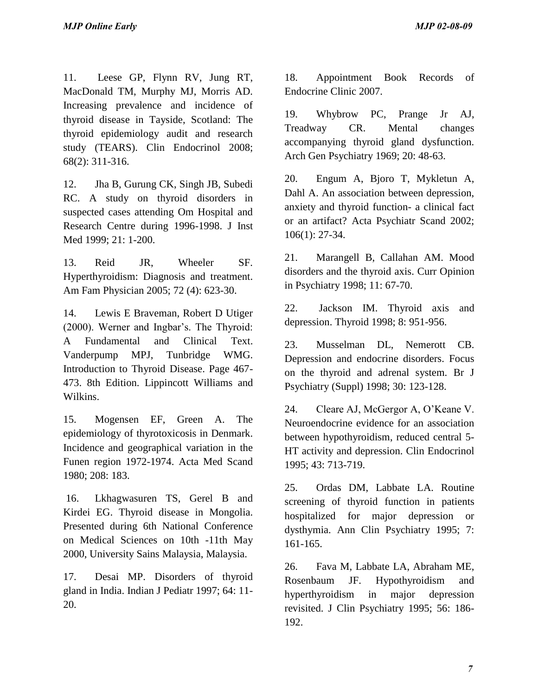11. Leese GP, Flynn RV, Jung RT, MacDonald TM, Murphy MJ, Morris AD. Increasing prevalence and incidence of thyroid disease in Tayside, Scotland: The thyroid epidemiology audit and research study (TEARS). Clin Endocrinol 2008; 68(2): 311-316.

12. Jha B, Gurung CK, Singh JB, Subedi RC. A study on thyroid disorders in suspected cases attending Om Hospital and Research Centre during 1996-1998. J Inst Med 1999; 21: 1-200.

13. Reid JR, Wheeler SF. Hyperthyroidism: Diagnosis and treatment. Am Fam Physician 2005; 72 (4): 623-30.

14. Lewis E Braveman, Robert D Utiger (2000). Werner and Ingbar's. The Thyroid: A Fundamental and Clinical Text. Vanderpump MPJ, Tunbridge WMG. Introduction to Thyroid Disease. Page 467- 473. 8th Edition. Lippincott Williams and Wilkins. *MJP Online Early* MJP 02-08-09<br>
MJP 02-08-09<br>
MAS/bond TM, Marphy MI, Morris AD.<br>
Enchacines Clinic 2007.<br>
Interacting precisions: and includence of 1910. Why<br>brown PC. Primary M. Marphy MI, Morris AD.<br>
Enchacines Clinic

15. Mogensen EF, Green A. The epidemiology of thyrotoxicosis in Denmark. Incidence and geographical variation in the Funen region 1972-1974. Acta Med Scand 1980; 208: 183.

 16. Lkhagwasuren TS, Gerel B and Kirdei EG. Thyroid disease in Mongolia. Presented during 6th National Conference on Medical Sciences on 10th -11th May 2000, University Sains Malaysia, Malaysia.

17. Desai MP. Disorders of thyroid gland in India. Indian J Pediatr 1997; 64: 11- 20.

18. Appointment Book Records of Endocrine Clinic 2007.

19. Whybrow PC, Prange Jr AJ, Treadway CR. Mental changes accompanying thyroid gland dysfunction. Arch Gen Psychiatry 1969; 20: 48-63.

20. Engum A, Bjoro T, Mykletun A, Dahl A. An association between depression, anxiety and thyroid function- a clinical fact or an artifact? Acta Psychiatr Scand 2002; 106(1): 27-34.

21. Marangell B, Callahan AM. Mood disorders and the thyroid axis. Curr Opinion in Psychiatry 1998; 11: 67-70.

22. Jackson IM. Thyroid axis and depression. Thyroid 1998; 8: 951-956.

23. Musselman DL, Nemerott CB. Depression and endocrine disorders. Focus on the thyroid and adrenal system. Br J Psychiatry (Suppl) 1998; 30: 123-128.

24. Cleare AJ, McGergor A, O'Keane V. Neuroendocrine evidence for an association between hypothyroidism, reduced central 5- HT activity and depression. Clin Endocrinol 1995; 43: 713-719.

25. Ordas DM, Labbate LA. Routine screening of thyroid function in patients hospitalized for major depression or dysthymia. Ann Clin Psychiatry 1995; 7: 161-165.

26. Fava M, Labbate LA, Abraham ME, Rosenbaum JF. Hypothyroidism and hyperthyroidism in major depression revisited. J Clin Psychiatry 1995; 56: 186- 192.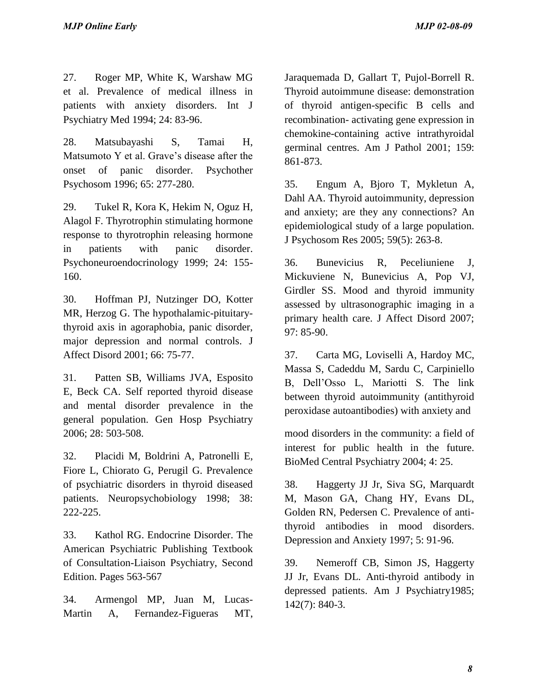27. Roger MP, White K, Warshaw MG et al. Prevalence of medical illness in patients with anxiety disorders. Int J Psychiatry Med 1994; 24: 83-96.

28. Matsubayashi S, Tamai H, Matsumoto Y et al. Grave's disease after the onset of panic disorder. Psychother Psychosom 1996; 65: 277-280.

29. Tukel R, Kora K, Hekim N, Oguz H, Alagol F. Thyrotrophin stimulating hormone response to thyrotrophin releasing hormone in patients with panic disorder. Psychoneuroendocrinology 1999; 24: 155- 160.

30. Hoffman PJ, Nutzinger DO, Kotter MR, Herzog G. The hypothalamic-pituitarythyroid axis in agoraphobia, panic disorder, major depression and normal controls. J Affect Disord 2001; 66: 75-77.

31. Patten SB, Williams JVA, Esposito E, Beck CA. Self reported thyroid disease and mental disorder prevalence in the general population. Gen Hosp Psychiatry 2006; 28: 503-508.

32. Placidi M, Boldrini A, Patronelli E, Fiore L, Chiorato G, Perugil G. Prevalence of psychiatric disorders in thyroid diseased patients. Neuropsychobiology 1998; 38: 222-225.

33. Kathol RG. Endocrine Disorder. The American Psychiatric Publishing Textbook of Consultation-Liaison Psychiatry, Second Edition. Pages 563-567

34. Armengol MP, Juan M, Lucas-Martin A, Fernandez-Figueras MT,

Jaraquemada D, Gallart T, Pujol-Borrell R. Thyroid autoimmune disease: demonstration of thyroid antigen-specific B cells and recombination- activating gene expression in chemokine-containing active intrathyroidal germinal centres. Am J Pathol 2001; 159: 861-873. *MJP Online Early*<br>
27. Roger MP, While K, Warslaw MG Intaquenada D, Gallar T, Pujol-Bornel R<br>
28. at a Prevalence of medical filmes in Thyroid antiniumnes disease dismontation<br>
28. at a Prevalence of medical filmes in Thy

35. Engum A, Bjoro T, Mykletun A, Dahl AA. Thyroid autoimmunity, depression and anxiety; are they any connections? An epidemiological study of a large population. J Psychosom Res 2005; 59(5): 263-8.

36. Bunevicius R, Peceliuniene J, Mickuviene N, Bunevicius A, Pop VJ, Girdler SS. Mood and thyroid immunity assessed by ultrasonographic imaging in a primary health care. J Affect Disord 2007; 97: 85-90.

37. Carta MG, Loviselli A, Hardoy MC, Massa S, Cadeddu M, Sardu C, Carpiniello B, Dell'Osso L, Mariotti S. The link between thyroid autoimmunity (antithyroid peroxidase autoantibodies) with anxiety and

mood disorders in the community: a field of interest for public health in the future. BioMed Central Psychiatry 2004; 4: 25.

38. Haggerty JJ Jr, Siva SG, Marquardt M, Mason GA, Chang HY, Evans DL, Golden RN, Pedersen C. Prevalence of antithyroid antibodies in mood disorders. Depression and Anxiety 1997; 5: 91-96.

39. Nemeroff CB, Simon JS, Haggerty JJ Jr, Evans DL. Anti-thyroid antibody in depressed patients. Am J Psychiatry1985; 142(7): 840-3.